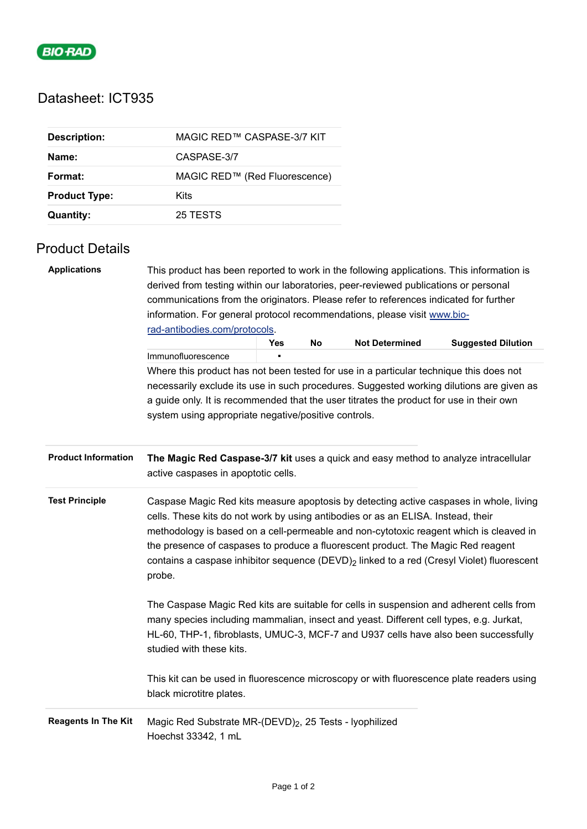

# Datasheet: ICT935

| <b>Description:</b>  | MAGIC RED™ CASPASE-3/7 KIT    |
|----------------------|-------------------------------|
| Name:                | CASPASE-3/7                   |
| Format:              | MAGIC RED™ (Red Fluorescence) |
| <b>Product Type:</b> | Kits                          |
| Quantity:            | 25 TESTS                      |

# Product Details

| <b>Applications</b>        | This product has been reported to work in the following applications. This information is<br>derived from testing within our laboratories, peer-reviewed publications or personal<br>communications from the originators. Please refer to references indicated for further<br>information. For general protocol recommendations, please visit www.bio-                                                                                                                      |     |    |                       |                           |  |  |
|----------------------------|-----------------------------------------------------------------------------------------------------------------------------------------------------------------------------------------------------------------------------------------------------------------------------------------------------------------------------------------------------------------------------------------------------------------------------------------------------------------------------|-----|----|-----------------------|---------------------------|--|--|
|                            | rad-antibodies.com/protocols.                                                                                                                                                                                                                                                                                                                                                                                                                                               | Yes | No | <b>Not Determined</b> | <b>Suggested Dilution</b> |  |  |
|                            | Immunofluorescence                                                                                                                                                                                                                                                                                                                                                                                                                                                          |     |    |                       |                           |  |  |
|                            | Where this product has not been tested for use in a particular technique this does not                                                                                                                                                                                                                                                                                                                                                                                      |     |    |                       |                           |  |  |
|                            | necessarily exclude its use in such procedures. Suggested working dilutions are given as                                                                                                                                                                                                                                                                                                                                                                                    |     |    |                       |                           |  |  |
|                            | a guide only. It is recommended that the user titrates the product for use in their own                                                                                                                                                                                                                                                                                                                                                                                     |     |    |                       |                           |  |  |
|                            | system using appropriate negative/positive controls.                                                                                                                                                                                                                                                                                                                                                                                                                        |     |    |                       |                           |  |  |
| <b>Product Information</b> | The Magic Red Caspase-3/7 kit uses a quick and easy method to analyze intracellular<br>active caspases in apoptotic cells.                                                                                                                                                                                                                                                                                                                                                  |     |    |                       |                           |  |  |
| <b>Test Principle</b>      | Caspase Magic Red kits measure apoptosis by detecting active caspases in whole, living<br>cells. These kits do not work by using antibodies or as an ELISA. Instead, their<br>methodology is based on a cell-permeable and non-cytotoxic reagent which is cleaved in<br>the presence of caspases to produce a fluorescent product. The Magic Red reagent<br>contains a caspase inhibitor sequence (DEVD) <sub>2</sub> linked to a red (Cresyl Violet) fluorescent<br>probe. |     |    |                       |                           |  |  |
|                            | The Caspase Magic Red kits are suitable for cells in suspension and adherent cells from<br>many species including mammalian, insect and yeast. Different cell types, e.g. Jurkat,<br>HL-60, THP-1, fibroblasts, UMUC-3, MCF-7 and U937 cells have also been successfully<br>studied with these kits.                                                                                                                                                                        |     |    |                       |                           |  |  |
|                            | This kit can be used in fluorescence microscopy or with fluorescence plate readers using<br>black microtitre plates.                                                                                                                                                                                                                                                                                                                                                        |     |    |                       |                           |  |  |
| <b>Reagents In The Kit</b> | Magic Red Substrate MR-(DEVD) <sub>2</sub> , 25 Tests - lyophilized<br>Hoechst 33342, 1 mL                                                                                                                                                                                                                                                                                                                                                                                  |     |    |                       |                           |  |  |